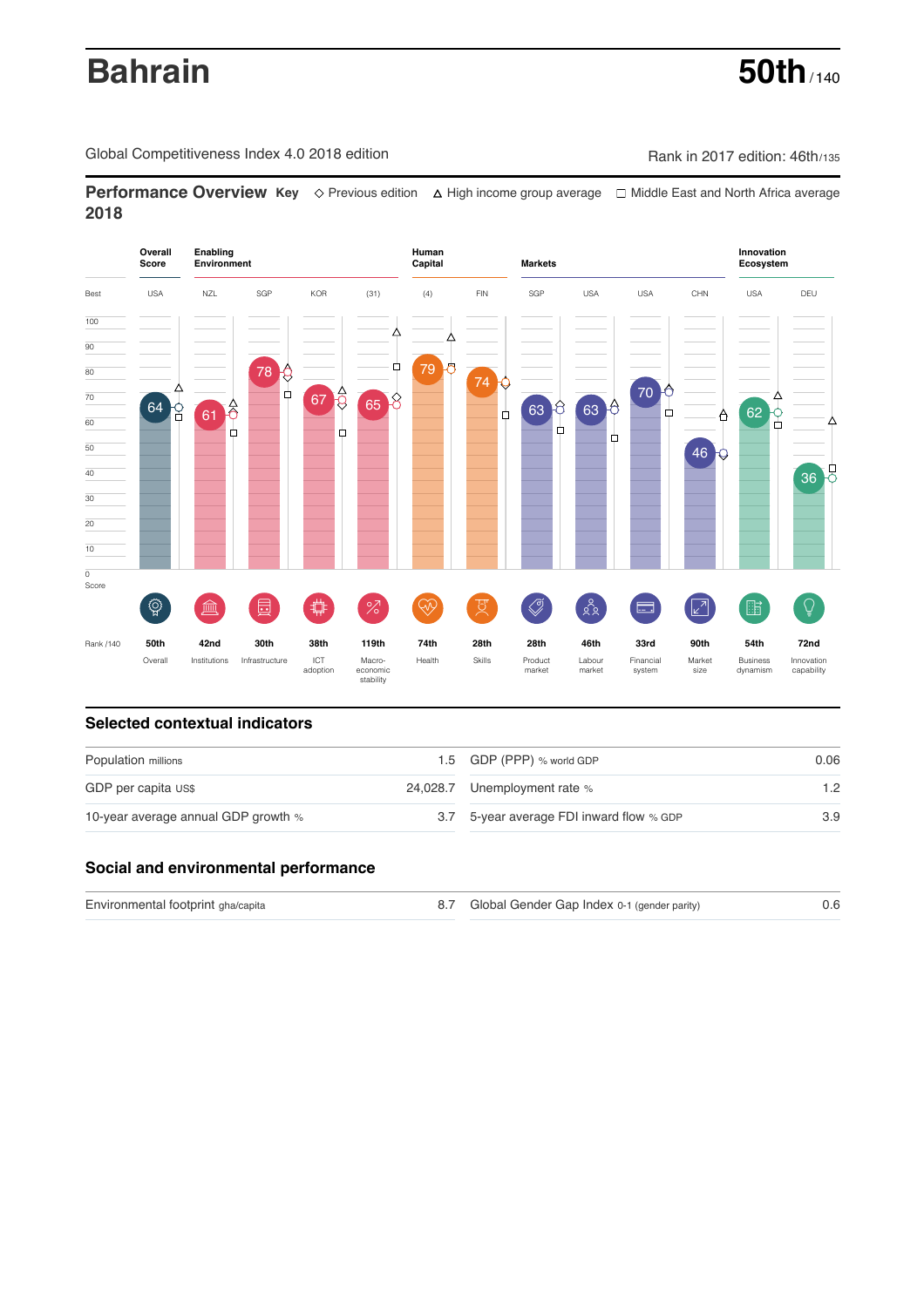# **Bahrain** 50th<sub>/140</sub>

Global Competitiveness Index 4.0 2018 edition Company Rank in 2017 edition: 46th/135

**Performance Overview Key** Previous edition High income group average Middle East and North Africa average **2018**



## **Selected contextual indicators**

| Population millions                 | 1.5 GDP (PPP) % world GDP                | 0.06 |  |
|-------------------------------------|------------------------------------------|------|--|
| GDP per capita US\$                 | 24,028.7 Unemployment rate %             | 1.2  |  |
| 10-year average annual GDP growth % | 3.7 5-year average FDI inward flow % GDP | 3.9  |  |

### **Social and environmental performance**

| Environmental footprint gha/capita | 8.7 Global Gender Gap Index 0-1 (gender parity) |  |
|------------------------------------|-------------------------------------------------|--|
|                                    |                                                 |  |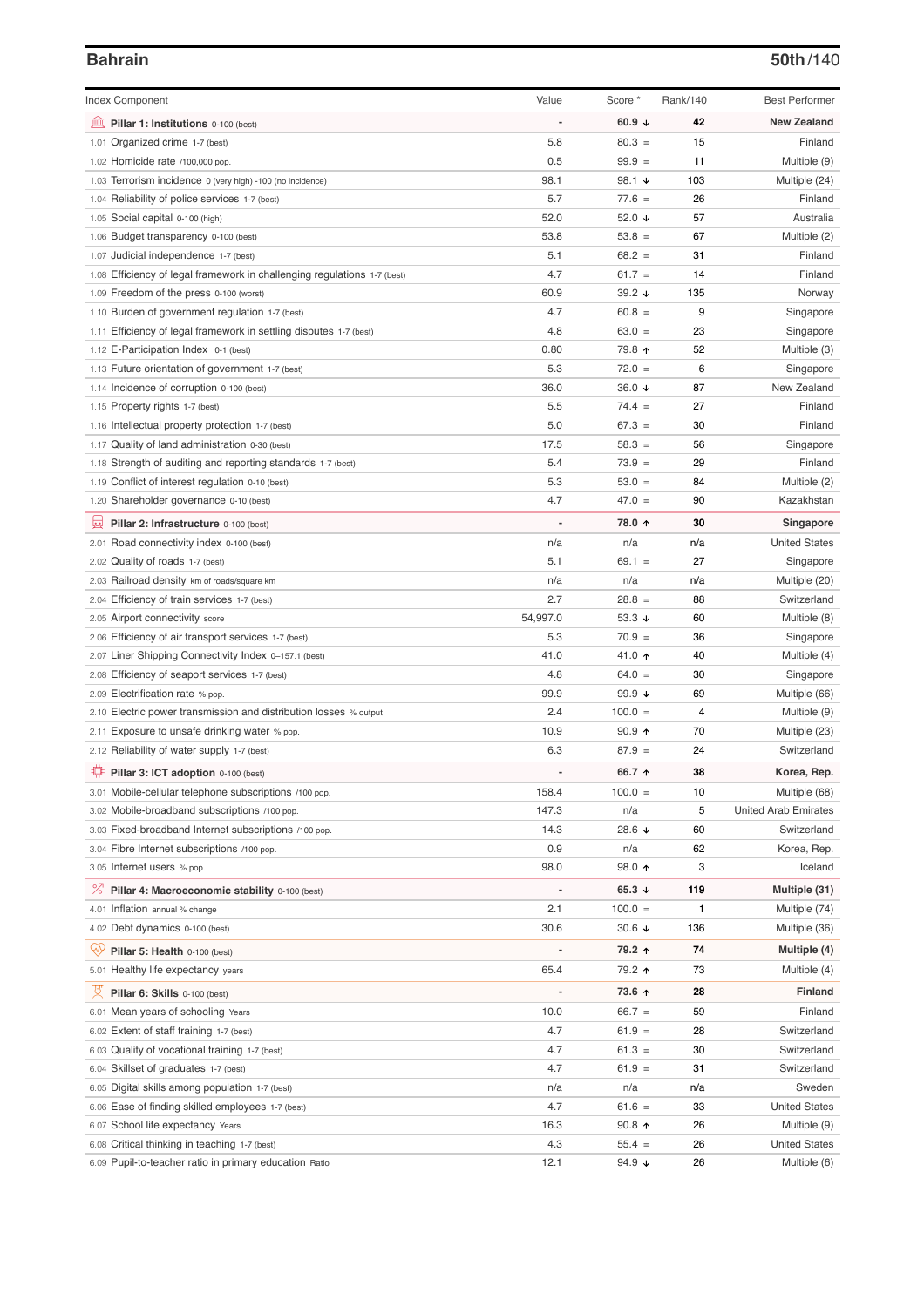### **Bahrain 50th**/140

| <b>Index Component</b>                                                   | Value                        | Score *           | Rank/140     | <b>Best Performer</b>       |
|--------------------------------------------------------------------------|------------------------------|-------------------|--------------|-----------------------------|
| 寙<br>Pillar 1: Institutions 0-100 (best)                                 |                              | 60.9 $\sqrt{ }$   | 42           | <b>New Zealand</b>          |
| 1.01 Organized crime 1-7 (best)                                          | 5.8                          | $80.3 =$          | 15           | Finland                     |
| 1.02 Homicide rate /100,000 pop.                                         | 0.5                          | $99.9 =$          | 11           | Multiple (9)                |
| 1.03 Terrorism incidence 0 (very high) -100 (no incidence)               | 98.1                         | 98.1 ↓            | 103          | Multiple (24)               |
| 1.04 Reliability of police services 1-7 (best)                           | 5.7                          | $77.6 =$          | 26           | Finland                     |
| 1.05 Social capital 0-100 (high)                                         | 52.0                         | 52.0 $\sqrt{ }$   | 57           | Australia                   |
| 1.06 Budget transparency 0-100 (best)                                    | 53.8                         | $53.8 =$          | 67           | Multiple (2)                |
| 1.07 Judicial independence 1-7 (best)                                    | 5.1                          | $68.2 =$          | 31           | Finland                     |
| 1.08 Efficiency of legal framework in challenging regulations 1-7 (best) | 4.7                          | $61.7 =$          | 14           | Finland                     |
| 1.09 Freedom of the press 0-100 (worst)                                  | 60.9                         | 39.2 $\sqrt{ }$   | 135          | Norway                      |
| 1.10 Burden of government regulation 1-7 (best)                          | 4.7                          | $60.8 =$          | 9            | Singapore                   |
| 1.11 Efficiency of legal framework in settling disputes 1-7 (best)       | 4.8                          | $63.0 =$          | 23           | Singapore                   |
| 1.12 E-Participation Index 0-1 (best)                                    | 0.80                         | 79.8 ↑            | 52           | Multiple (3)                |
| 1.13 Future orientation of government 1-7 (best)                         | 5.3                          | $72.0 =$          | 6            | Singapore                   |
| 1.14 Incidence of corruption 0-100 (best)                                | 36.0                         | 36.0 $\sqrt{ }$   | 87           | New Zealand                 |
| 1.15 Property rights 1-7 (best)                                          | 5.5                          | $74.4 =$          | 27           | Finland                     |
| 1.16 Intellectual property protection 1-7 (best)                         | 5.0                          | $67.3 =$          | 30           | Finland                     |
| 1.17 Quality of land administration 0-30 (best)                          | 17.5                         | $58.3 =$          | 56           | Singapore                   |
| 1.18 Strength of auditing and reporting standards 1-7 (best)             | 5.4                          | $73.9 =$          | 29           | Finland                     |
| 1.19 Conflict of interest regulation 0-10 (best)                         | 5.3                          | $53.0 =$          | 84           | Multiple (2)                |
| 1.20 Shareholder governance 0-10 (best)                                  | 4.7                          | $47.0 =$          | 90           | Kazakhstan                  |
| 圓<br>Pillar 2: Infrastructure 0-100 (best)                               |                              | 78.0 ↑            | 30           | Singapore                   |
| 2.01 Road connectivity index 0-100 (best)                                | n/a                          | n/a               | n/a          | <b>United States</b>        |
| 2.02 Quality of roads 1-7 (best)                                         | 5.1                          | $69.1 =$          | 27           | Singapore                   |
| 2.03 Railroad density km of roads/square km                              | n/a                          | n/a               | n/a          | Multiple (20)               |
| 2.04 Efficiency of train services 1-7 (best)                             | 2.7                          | $28.8 =$          | 88           | Switzerland                 |
| 2.05 Airport connectivity score                                          | 54,997.0                     | 53.3 $\sqrt{ }$   | 60           | Multiple (8)                |
| 2.06 Efficiency of air transport services 1-7 (best)                     | 5.3                          | $70.9 =$          | 36           | Singapore                   |
| 2.07 Liner Shipping Connectivity Index 0-157.1 (best)                    | 41.0                         | 41.0 ↑            | 40           | Multiple (4)                |
| 2.08 Efficiency of seaport services 1-7 (best)                           | 4.8                          | $64.0 =$          | 30           | Singapore                   |
| 2.09 Electrification rate % pop.                                         | 99.9                         | 99.9 $\sqrt{ }$   | 69           | Multiple (66)               |
| 2.10 Electric power transmission and distribution losses % output        | 2.4                          | $100.0 =$         | 4            | Multiple (9)                |
| 2.11 Exposure to unsafe drinking water % pop.                            | 10.9                         | 90.9 $\uparrow$   | 70           | Multiple (23)               |
| 2.12 Reliability of water supply 1-7 (best)                              | 6.3                          | $87.9 =$          | 24           | Switzerland                 |
| Pillar 3: ICT adoption 0-100 (best)                                      |                              | 66.7 ↑            | 38           | Korea, Rep.                 |
| 3.01 Mobile-cellular telephone subscriptions /100 pop.                   | 158.4                        | $100.0 =$         | 10           | Multiple (68)               |
| 3.02 Mobile-broadband subscriptions /100 pop.                            | 147.3                        | n/a               | 5            | <b>United Arab Emirates</b> |
| 3.03 Fixed-broadband Internet subscriptions /100 pop.                    | 14.3                         | 28.6 ↓            | 60           | Switzerland                 |
| 3.04 Fibre Internet subscriptions /100 pop.                              | 0.9                          | n/a               | 62           | Korea, Rep.                 |
| 3.05 Internet users % pop.                                               | 98.0                         | 98.0 个            | 3            | Iceland                     |
| ℅<br>Pillar 4: Macroeconomic stability 0-100 (best)                      | $\qquad \qquad \blacksquare$ | 65.3 $\downarrow$ | 119          | Multiple (31)               |
| 4.01 Inflation annual % change                                           | 2.1                          | $100.0 =$         | $\mathbf{1}$ | Multiple (74)               |
| 4.02 Debt dynamics 0-100 (best)                                          | 30.6                         | $30.6 +$          | 136          | Multiple (36)               |
| Qÿ<br>Pillar 5: Health 0-100 (best)                                      |                              | 79.2 ↑            | 74           | Multiple (4)                |
| 5.01 Healthy life expectancy years                                       | 65.4                         | 79.2 ↑            | 73           | Multiple (4)                |
| 섯<br>Pillar 6: Skills 0-100 (best)                                       |                              | 73.6 ↑            | 28           | <b>Finland</b>              |
| 6.01 Mean years of schooling Years                                       | 10.0                         | $66.7 =$          | 59           | Finland                     |
| 6.02 Extent of staff training 1-7 (best)                                 | 4.7                          | $61.9 =$          | 28           | Switzerland                 |
| 6.03 Quality of vocational training 1-7 (best)                           | 4.7                          | $61.3 =$          | 30           | Switzerland                 |
| 6.04 Skillset of graduates 1-7 (best)                                    | 4.7                          | $61.9 =$          | 31           | Switzerland                 |
| 6.05 Digital skills among population 1-7 (best)                          | n/a                          | n/a               | n/a          | Sweden                      |
| 6.06 Ease of finding skilled employees 1-7 (best)                        | 4.7                          | $61.6 =$          | 33           | <b>United States</b>        |
| 6.07 School life expectancy Years                                        | 16.3                         | $90.8$ 1          | 26           | Multiple (9)                |
| 6.08 Critical thinking in teaching 1-7 (best)                            | 4.3                          | $55.4 =$          | 26           | <b>United States</b>        |
| 6.09 Pupil-to-teacher ratio in primary education Ratio                   | 12.1                         | 94.9 $\sqrt{ }$   | 26           | Multiple (6)                |